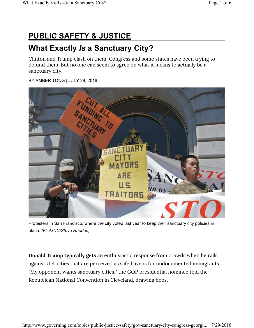## **PUBLIC SAFETY & JUSTICE**

## **What Exactly** *Is* **a Sanctuary City?**

Clinton and Trump clash on them. Congress and some states have been trying to defund them. But no one can seem to agree on what it means to actually be a sanctuary city.

#### BY AMBER TONG | JULY 29, 2016



Protesters in San Francisco, where the city voted last year to keep their sanctuary city policies in place. *(FlickrCC/Steve Rhodes)*

**Donald Trump typically gets** an enthusiastic response from crowds when he rails against U.S. cities that are perceived as safe havens for undocumented immigrants. "My opponent wants sanctuary cities," the GOP presidential nominee told the Republican National Convention in Cleveland, drawing boos.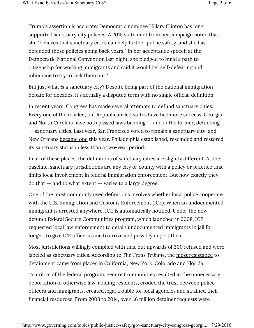Trump's assertion is accurate: Democratic nominee Hillary Clinton has long supported sanctuary city policies. A 2015 statement from her campaign noted that she "believes that sanctuary cities can help further public safety, and she has defended those policies going back years." In her acceptance speech at the Democratic National Convention last night, she pledged to build a path to citizenship for working immigrants and said it would be "self-defeating and inhumane to try to kick them out."

But just what *is* a sanctuary city? Despite being part of the national immigration debate for decades, it's actually a disputed term with no single official definition.

In recent years, Congress has made several attempts to defund sanctuary cities. Every one of them failed, but Republican-led states have had more success. Georgia and North Carolina have both passed laws banning -- and in the former, defunding -- sanctuary cities. Last year, San Francisco voted to remain a sanctuary city, and New Orleans became one this year. Philadelphia established, rescinded and restored its sanctuary status in less than a two-year period.

In all of these places, the definitions of sanctuary cities are slightly different. At the baseline, sanctuary jurisdictions are any city or county with a policy or practice that limits local involvement in federal immigration enforcement. But how exactly they do that -- and to what extent -- varies to a large degree.

One of the most commonly used definitions involves whether local police cooperate with the U.S. Immigration and Customs Enforcement (ICE). When an undocumented immigrant is arrested anywhere, ICE is automatically notified. Under the nowdefunct federal Secure Communities program, which launched in 2008, ICE requested local law enforcement to detain undocumented immigrants in jail for longer, to give ICE officers time to arrive and possibly deport them.

Most jurisdictions willingly complied with this, but upwards of 300 refused and were labeled as sanctuary cities. According to *The Texas Tribune*, the most resistance to detainment came from places in California, New York, Colorado and Florida.

To critics of the federal program, Secure Communities resulted in the unnecessary deportation of otherwise law-abiding residents, eroded the trust between police officers and immigrants, created legal trouble for local agencies and strained their financial resources. From 2008 to 2014, over 1.6 million detainer requests were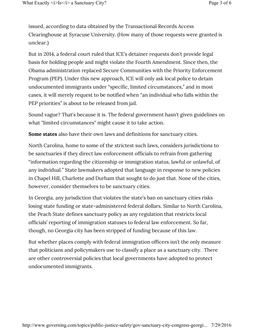issued, according to data obtained by the Transactional Records Access Clearinghouse at Syracuse University. (How many of those requests were granted is unclear.)

But in 2014, a federal court ruled that ICE's detainer requests don't provide legal basis for holding people and might violate the Fourth Amendment. Since then, the Obama administration replaced Secure Communities with the Priority Enforcement Program (PEP). Under this new approach, ICE will only ask local police to detain undocumented immigrants under "specific, limited circumstances," and in most cases, it will merely request to be notified when "an individual who falls within the PEP priorities" is about to be released from jail.

Sound vague? That's because it is. The federal government hasn't given guidelines on what "limited circumstances" might cause it to take action.

**Some states** also have their own laws and definitions for sanctuary cities.

North Carolina, home to some of the strictest such laws, considers jurisdictions to be sanctuaries if they direct law enforcement officials to refrain from gathering "information regarding the citizenship or immigration status, lawful or unlawful, of any individual." State lawmakers adopted that language in response to new policies in Chapel Hill, Charlotte and Durham that sought to do just that. None of the cities, however, consider themselves to be sanctuary cities.

In Georgia, any jurisdiction that violates the state's ban on sanctuary cities risks losing state funding or state-administered federal dollars. Similar to North Carolina, the Peach State defines sanctuary policy as any regulation that restricts local officials' reporting of immigration statuses to federal law enforcement. So far, though, no Georgia city has been stripped of funding because of this law.

But whether places comply with federal immigration officers isn't the only measure that politicians and policymakers use to classify a place as a sanctuary city. There are other controversial policies that local governments have adopted to protect undocumented immigrants.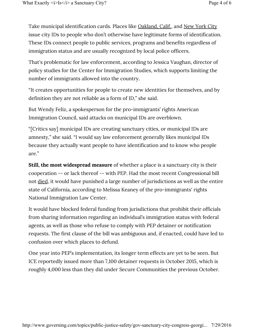Take municipal identification cards. Places like **Oakland, Calif.**, and New York City issue city IDs to people who don't otherwise have legitimate forms of identification. These IDs connect people to public services, programs and benefits regardless of immigration status and are usually recognized by local police officers.

That's problematic for law enforcement, according to Jessica Vaughan, director of policy studies for the Center for Immigration Studies, which supports limiting the number of immigrants allowed into the country.

"It creates opportunities for people to create new identities for themselves, and by definition they are not reliable as a form of ID," she said.

But Wendy Feliz, a spokesperson for the pro-immigrants' rights American Immigration Council, said attacks on municipal IDs are overblown.

"[Critics say] municipal IDs are creating sanctuary cities, or municipal IDs are amnesty," she said. "I would say law enforcement generally likes municipal IDs because they actually want people to have identification and to know who people are."

**Still, the most widespread measure** of whether a place is a sanctuary city is their cooperation -- or lack thereof -- with PEP. Had the most recent Congressional bill not died, it would have punished a large number of jurisdictions as well as the entire state of California, according to Melissa Keaney of the pro-immigrants' rights National Immigration Law Center.

It would have blocked federal funding from jurisdictions that prohibit their officials from sharing information regarding an individual's immigration status with federal agents, as well as those who refuse to comply with PEP detainer or notification requests. The first clause of the bill was ambiguous and, if enacted, could have led to confusion over which places to defund.

One year into PEP's implementation, its longer term effects are yet to be seen. But ICE reportedly issued more than 7,100 detainer requests in October 2015, which is roughly 4,000 less than they did under Secure Communities the previous October.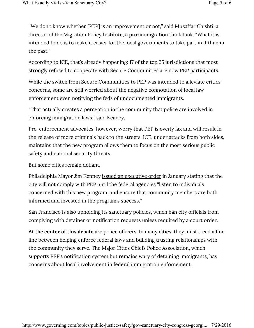"We don't know whether [PEP] is an improvement or not," said Muzaffar Chishti, a director of the Migration Policy Institute, a pro-immigration think tank. "What it is intended to do is to make it easier for the local governments to take part in it than in the past."

According to ICE, that's already happening: 17 of the top 25 jurisdictions that most strongly refused to cooperate with Secure Communities are now PEP participants.

While the switch from Secure Communities to PEP was intended to alleviate critics' concerns, some are still worried about the negative connotation of local law enforcement even notifying the feds of undocumented immigrants.

"That actually creates a perception in the community that police are involved in enforcing immigration laws," said Keaney.

Pro-enforcement advocates, however, worry that PEP is overly lax and will result in the release of more criminals back to the streets. ICE, under attacks from both sides, maintains that the new program allows them to focus on the most serious public safety and national security threats.

But some cities remain defiant.

Philadelphia Mayor Jim Kenney issued an executive order in January stating that the city will not comply with PEP until the federal agencies "listen to individuals concerned with this new program, and ensure that community members are both informed and invested in the program's success."

San Francisco is also upholding its sanctuary policies, which ban city officials from complying with detainer or notification requests unless required by a court order.

**At the center of this debate** are police officers. In many cities, they must tread a fine line between helping enforce federal laws and building trusting relationships with the community they serve. The Major Cities Chiefs Police Association, which supports PEP's notification system but remains wary of detaining immigrants, has concerns about local involvement in federal immigration enforcement.